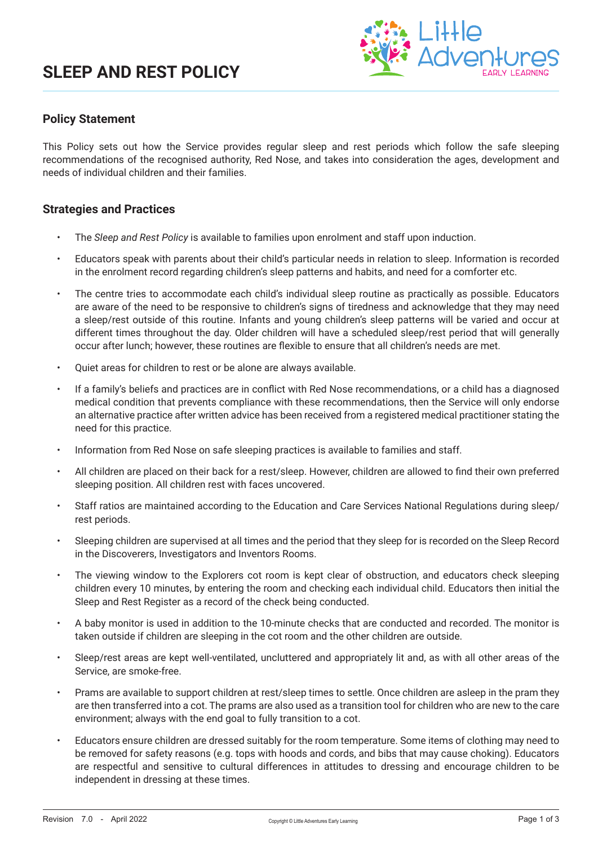

## **Policy Statement**

This Policy sets out how the Service provides regular sleep and rest periods which follow the safe sleeping recommendations of the recognised authority, Red Nose, and takes into consideration the ages, development and needs of individual children and their families.

### **Strategies and Practices**

- The *Sleep and Rest Policy* is available to families upon enrolment and staff upon induction.
- Educators speak with parents about their child's particular needs in relation to sleep. Information is recorded in the enrolment record regarding children's sleep patterns and habits, and need for a comforter etc.
- The centre tries to accommodate each child's individual sleep routine as practically as possible. Educators are aware of the need to be responsive to children's signs of tiredness and acknowledge that they may need a sleep/rest outside of this routine. Infants and young children's sleep patterns will be varied and occur at different times throughout the day. Older children will have a scheduled sleep/rest period that will generally occur after lunch; however, these routines are flexible to ensure that all children's needs are met.
- Quiet areas for children to rest or be alone are always available.
- If a family's beliefs and practices are in conflict with Red Nose recommendations, or a child has a diagnosed medical condition that prevents compliance with these recommendations, then the Service will only endorse an alternative practice after written advice has been received from a registered medical practitioner stating the need for this practice.
- Information from Red Nose on safe sleeping practices is available to families and staff.
- All children are placed on their back for a rest/sleep. However, children are allowed to find their own preferred sleeping position. All children rest with faces uncovered.
- Staff ratios are maintained according to the Education and Care Services National Regulations during sleep/ rest periods.
- Sleeping children are supervised at all times and the period that they sleep for is recorded on the Sleep Record in the Discoverers, Investigators and Inventors Rooms.
- The viewing window to the Explorers cot room is kept clear of obstruction, and educators check sleeping children every 10 minutes, by entering the room and checking each individual child. Educators then initial the Sleep and Rest Register as a record of the check being conducted.
- A baby monitor is used in addition to the 10-minute checks that are conducted and recorded. The monitor is taken outside if children are sleeping in the cot room and the other children are outside.
- Sleep/rest areas are kept well-ventilated, uncluttered and appropriately lit and, as with all other areas of the Service, are smoke-free.
- Prams are available to support children at rest/sleep times to settle. Once children are asleep in the pram they are then transferred into a cot. The prams are also used as a transition tool for children who are new to the care environment; always with the end goal to fully transition to a cot.
- Educators ensure children are dressed suitably for the room temperature. Some items of clothing may need to be removed for safety reasons (e.g. tops with hoods and cords, and bibs that may cause choking). Educators are respectful and sensitive to cultural differences in attitudes to dressing and encourage children to be independent in dressing at these times.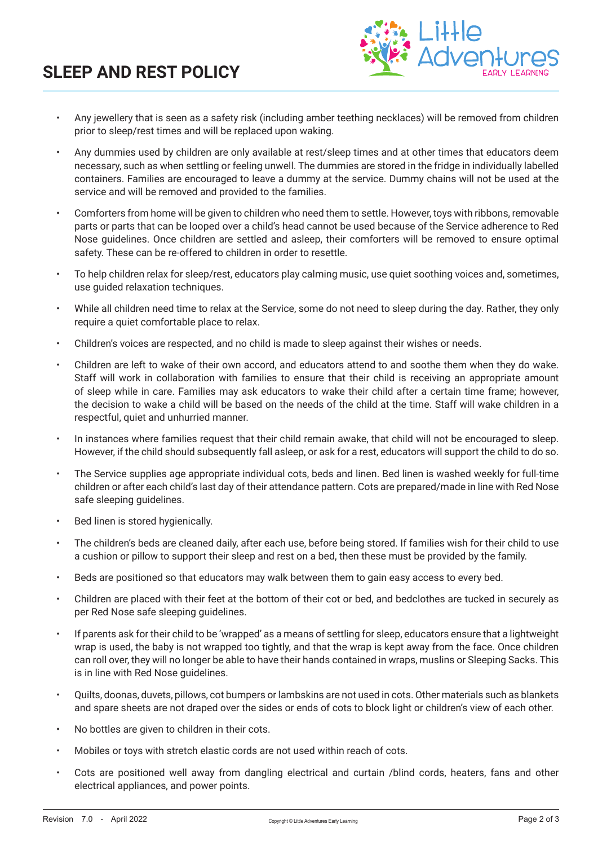# **SLEEP AND REST POLICY**



- Any jewellery that is seen as a safety risk (including amber teething necklaces) will be removed from children prior to sleep/rest times and will be replaced upon waking.
- Any dummies used by children are only available at rest/sleep times and at other times that educators deem necessary, such as when settling or feeling unwell. The dummies are stored in the fridge in individually labelled containers. Families are encouraged to leave a dummy at the service. Dummy chains will not be used at the service and will be removed and provided to the families.
- Comforters from home will be given to children who need them to settle. However, toys with ribbons, removable parts or parts that can be looped over a child's head cannot be used because of the Service adherence to Red Nose guidelines. Once children are settled and asleep, their comforters will be removed to ensure optimal safety. These can be re-offered to children in order to resettle.
- To help children relax for sleep/rest, educators play calming music, use quiet soothing voices and, sometimes, use guided relaxation techniques.
- While all children need time to relax at the Service, some do not need to sleep during the day. Rather, they only require a quiet comfortable place to relax.
- Children's voices are respected, and no child is made to sleep against their wishes or needs.
- Children are left to wake of their own accord, and educators attend to and soothe them when they do wake. Staff will work in collaboration with families to ensure that their child is receiving an appropriate amount of sleep while in care. Families may ask educators to wake their child after a certain time frame; however, the decision to wake a child will be based on the needs of the child at the time. Staff will wake children in a respectful, quiet and unhurried manner.
- In instances where families request that their child remain awake, that child will not be encouraged to sleep. However, if the child should subsequently fall asleep, or ask for a rest, educators will support the child to do so.
- The Service supplies age appropriate individual cots, beds and linen. Bed linen is washed weekly for full-time children or after each child's last day of their attendance pattern. Cots are prepared/made in line with Red Nose safe sleeping guidelines.
- Bed linen is stored hygienically.
- The children's beds are cleaned daily, after each use, before being stored. If families wish for their child to use a cushion or pillow to support their sleep and rest on a bed, then these must be provided by the family.
- Beds are positioned so that educators may walk between them to gain easy access to every bed.
- Children are placed with their feet at the bottom of their cot or bed, and bedclothes are tucked in securely as per Red Nose safe sleeping guidelines.
- If parents ask for their child to be 'wrapped' as a means of settling for sleep, educators ensure that a lightweight wrap is used, the baby is not wrapped too tightly, and that the wrap is kept away from the face. Once children can roll over, they will no longer be able to have their hands contained in wraps, muslins or Sleeping Sacks. This is in line with Red Nose guidelines.
- Quilts, doonas, duvets, pillows, cot bumpers or lambskins are not used in cots. Other materials such as blankets and spare sheets are not draped over the sides or ends of cots to block light or children's view of each other.
- No bottles are given to children in their cots.
- Mobiles or toys with stretch elastic cords are not used within reach of cots.
- Cots are positioned well away from dangling electrical and curtain /blind cords, heaters, fans and other electrical appliances, and power points.